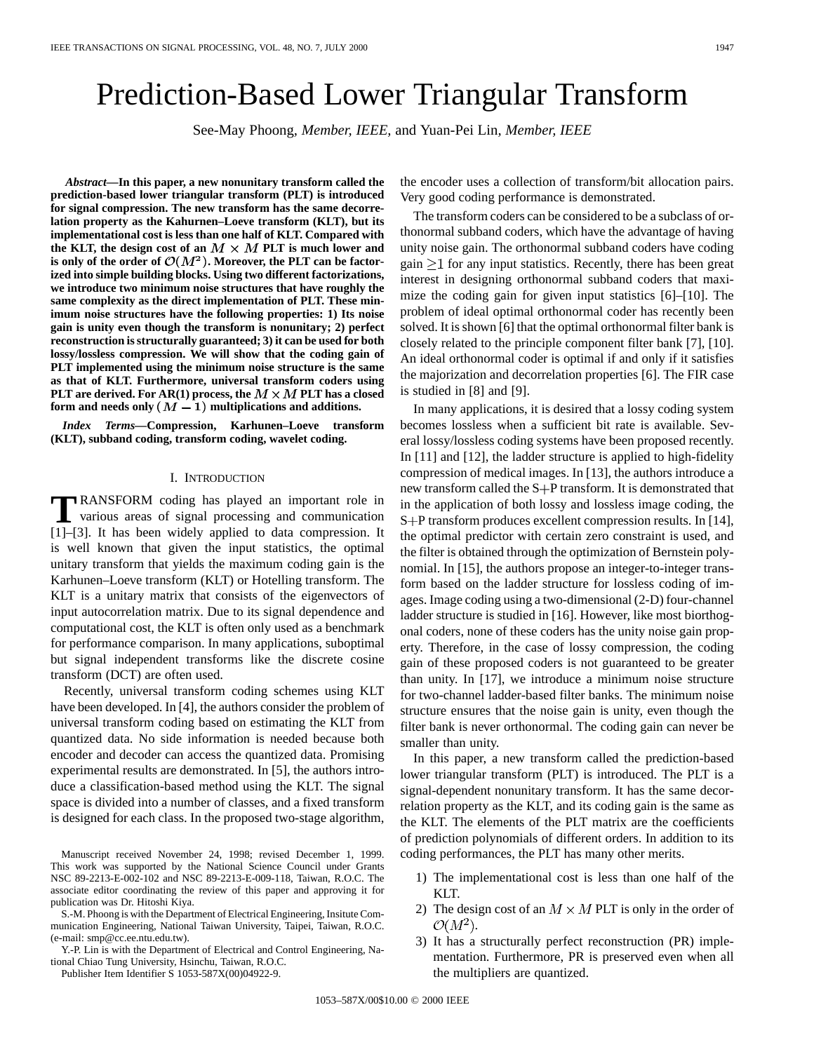# Prediction-Based Lower Triangular Transform

See-May Phoong*, Member, IEEE,* and Yuan-Pei Lin*, Member, IEEE*

*Abstract—***In this paper, a new nonunitary transform called the prediction-based lower triangular transform (PLT) is introduced for signal compression. The new transform has the same decorrelation property as the Kahurnen–Loeve transform (KLT), but its implementational cost is less than one half of KLT. Compared with** the KLT, the design cost of an  $M \times M$  PLT is much lower and is only of the order of  $\mathcal{O}(M^2)$ . Moreover, the PLT can be factor**ized into simple building blocks. Using two different factorizations, we introduce two minimum noise structures that have roughly the same complexity as the direct implementation of PLT. These minimum noise structures have the following properties: 1) Its noise gain is unity even though the transform is nonunitary; 2) perfect reconstruction is structurally guaranteed; 3) it can be used for both lossy/lossless compression. We will show that the coding gain of PLT implemented using the minimum noise structure is the same as that of KLT. Furthermore, universal transform coders using PLT** are derived. For AR(1) process, the  $M \times M$  PLT has a closed form and needs only  $(M - 1)$  multiplications and additions.

*Index Terms—***Compression, Karhunen–Loeve transform (KLT), subband coding, transform coding, wavelet coding.**

#### I. INTRODUCTION

**T**RANSFORM coding has played an important role in various areas of signal processing and communication [1]–[3]. It has been widely applied to data compression. It is well known that given the input statistics, the optimal unitary transform that yields the maximum coding gain is the Karhunen–Loeve transform (KLT) or Hotelling transform. The KLT is a unitary matrix that consists of the eigenvectors of input autocorrelation matrix. Due to its signal dependence and computational cost, the KLT is often only used as a benchmark for performance comparison. In many applications, suboptimal but signal independent transforms like the discrete cosine transform (DCT) are often used.

Recently, universal transform coding schemes using KLT have been developed. In [4], the authors consider the problem of universal transform coding based on estimating the KLT from quantized data. No side information is needed because both encoder and decoder can access the quantized data. Promising experimental results are demonstrated. In [5], the authors introduce a classification-based method using the KLT. The signal space is divided into a number of classes, and a fixed transform is designed for each class. In the proposed two-stage algorithm,

Manuscript received November 24, 1998; revised December 1, 1999. This work was supported by the National Science Council under Grants NSC 89-2213-E-002-102 and NSC 89-2213-E-009-118, Taiwan, R.O.C. The associate editor coordinating the review of this paper and approving it for publication was Dr. Hitoshi Kiya.

S.-M. Phoong is with the Department of Electrical Engineering, Insitute Communication Engineering, National Taiwan University, Taipei, Taiwan, R.O.C. (e-mail: smp@cc.ee.ntu.edu.tw).

Y.-P. Lin is with the Department of Electrical and Control Engineering, National Chiao Tung University, Hsinchu, Taiwan, R.O.C.

Publisher Item Identifier S 1053-587X(00)04922-9.

the encoder uses a collection of transform/bit allocation pairs. Very good coding performance is demonstrated.

The transform coders can be considered to be a subclass of orthonormal subband coders, which have the advantage of having unity noise gain. The orthonormal subband coders have coding gain  $\geq$ 1 for any input statistics. Recently, there has been great interest in designing orthonormal subband coders that maximize the coding gain for given input statistics [6]–[10]. The problem of ideal optimal orthonormal coder has recently been solved. It is shown [6] that the optimal orthonormal filter bank is closely related to the principle component filter bank [7], [10]. An ideal orthonormal coder is optimal if and only if it satisfies the majorization and decorrelation properties [6]. The FIR case is studied in [8] and [9].

In many applications, it is desired that a lossy coding system becomes lossless when a sufficient bit rate is available. Several lossy/lossless coding systems have been proposed recently. In [11] and [12], the ladder structure is applied to high-fidelity compression of medical images. In [13], the authors introduce a new transform called the  $S + P$  transform. It is demonstrated that in the application of both lossy and lossless image coding, the S+P transform produces excellent compression results. In [14], the optimal predictor with certain zero constraint is used, and the filter is obtained through the optimization of Bernstein polynomial. In [15], the authors propose an integer-to-integer transform based on the ladder structure for lossless coding of images. Image coding using a two-dimensional (2-D) four-channel ladder structure is studied in [16]. However, like most biorthogonal coders, none of these coders has the unity noise gain property. Therefore, in the case of lossy compression, the coding gain of these proposed coders is not guaranteed to be greater than unity. In [17], we introduce a minimum noise structure for two-channel ladder-based filter banks. The minimum noise structure ensures that the noise gain is unity, even though the filter bank is never orthonormal. The coding gain can never be smaller than unity.

In this paper, a new transform called the prediction-based lower triangular transform (PLT) is introduced. The PLT is a signal-dependent nonunitary transform. It has the same decorrelation property as the KLT, and its coding gain is the same as the KLT. The elements of the PLT matrix are the coefficients of prediction polynomials of different orders. In addition to its coding performances, the PLT has many other merits.

- 1) The implementational cost is less than one half of the KLT.
- 2) The design cost of an  $M \times M$  PLT is only in the order of  $\mathcal{O}(M^2)$ .
- 3) It has a structurally perfect reconstruction (PR) implementation. Furthermore, PR is preserved even when all the multipliers are quantized.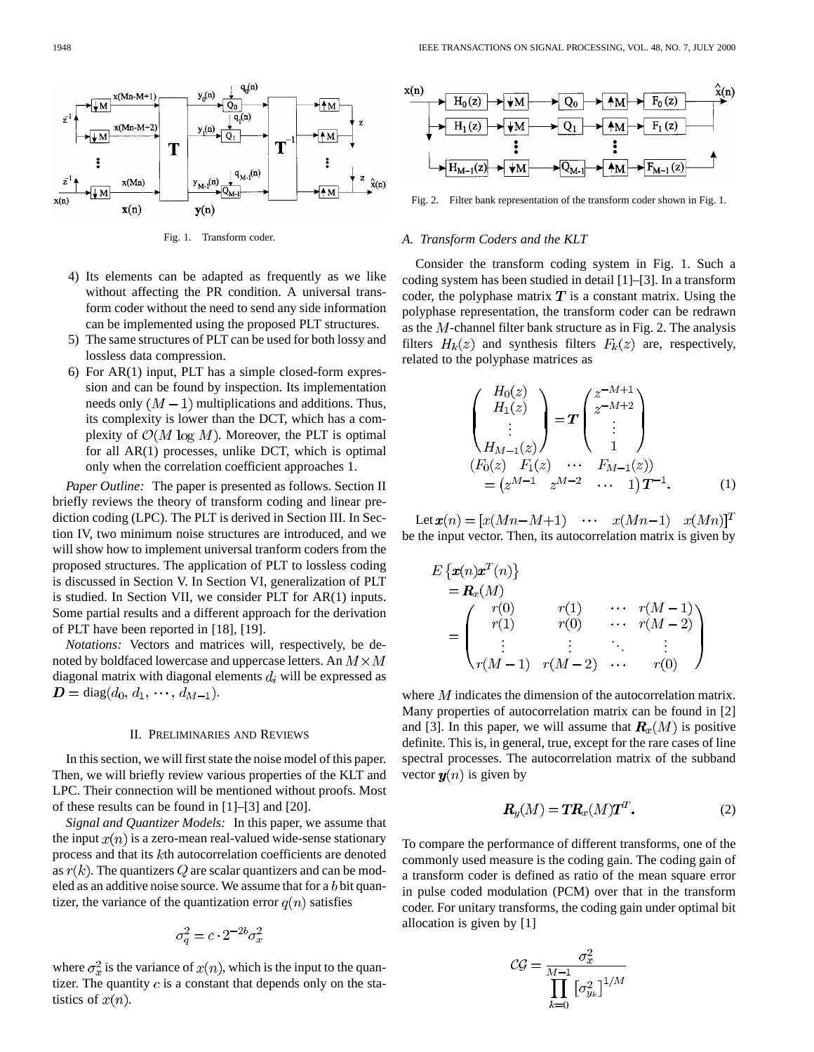

Fig. 1. Transform coder.

- 4) Its elements can be adapted as frequently as we like without affecting the PR condition. A universal transform coder without the need to send any side information can be implemented using the proposed PLT structures.
- 5) The same structures of PLT can be used for both lossy and lossless data compression.
- 6) For AR(1) input, PLT has a simple closed-form expression and can be found by inspection. Its implementation needs only  $(M-1)$  multiplications and additions. Thus, its complexity is lower than the DCT, which has a complexity of  $\mathcal{O}(M \log M)$ . Moreover, the PLT is optimal for all AR(1) processes, unlike DCT, which is optimal only when the correlation coefficient approaches 1.

*Paper Outline:* The paper is presented as follows. Section II briefly reviews the theory of transform coding and linear prediction coding (LPC). The PLT is derived in Section III. In Section IV, two minimum noise structures are introduced, and we will show how to implement universal tranform coders from the proposed structures. The application of PLT to lossless coding is discussed in Section V. In Section VI, generalization of PLT is studied. In Section VII, we consider PLT for AR(1) inputs. Some partial results and a different approach for the derivation of PLT have been reported in [18], [19].

*Notations:* Vectors and matrices will, respectively, be denoted by boldfaced lowercase and uppercase letters. An  $M \times M$ diagonal matrix with diagonal elements  $d_i$  will be expressed as  $\mathbf{D} = \text{diag}(d_0, d_1, \cdots, d_{M-1}).$ 

#### II. PRELIMINARIES AND REVIEWS

In this section, we will first state the noise model of this paper. Then, we will briefly review various properties of the KLT and LPC. Their connection will be mentioned without proofs. Most of these results can be found in [1]–[3] and [20].

*Signal and Quantizer Models:* In this paper, we assume that the input  $x(n)$  is a zero-mean real-valued wide-sense stationary process and that its kth autocorrelation coefficients are denoted as  $r(k)$ . The quantizers Q are scalar quantizers and can be modeled as an additive noise source. We assume that for a b bit quantizer, the variance of the quantization error  $q(n)$  satisfies

$$
\sigma_q^2 = c \cdot 2^{-2b} \sigma_x^2
$$

where  $\sigma_x^2$  is the variance of  $x(n)$ , which is the input to the quantizer. The quantity  $c$  is a constant that depends only on the statistics of  $x(n)$ .



Fig. 2. Filter bank representation of the transform coder shown in Fig. 1.

#### *A. Transform Coders and the KLT*

Consider the transform coding system in Fig. 1. Such a coding system has been studied in detail [1]–[3]. In a transform coder, the polyphase matrix  $T$  is a constant matrix. Using the polyphase representation, the transform coder can be redrawn as the  $M$ -channel filter bank structure as in Fig. 2. The analysis filters  $H_k(z)$  and synthesis filters  $F_k(z)$  are, respectively, related to the polyphase matrices as

$$
\begin{pmatrix}\nH_0(z) \\
H_1(z) \\
\vdots \\
H_{M-1}(z)\n\end{pmatrix} = T \begin{pmatrix}\nz^{-M+1} \\
z^{-M+2} \\
\vdots \\
1\n\end{pmatrix}
$$
\n
$$
(F_0(z) F_1(z) \cdots F_{M-1}(z))
$$
\n
$$
= (z^{M-1} z^{M-2} \cdots 1) T^{-1}.
$$
\n(1)

Let  $x(n) = [x(Mn-M+1) \cdots x(Mn-1) x(Mn)]^T$ be the input vector. Then, its autocorrelation matrix is given by

$$
E\left\{x(n)x^{T}(n)\right\}
$$
  
=  $\mathbf{R}_{x}(M)$   
= 
$$
\begin{pmatrix}r(0) & r(1) & \cdots & r(M-1) \\r(1) & r(0) & \cdots & r(M-2) \\ \vdots & \vdots & \ddots & \vdots \\r(M-1) & r(M-2) & \cdots & r(0)\end{pmatrix}
$$

where  $M$  indicates the dimension of the autocorrelation matrix. Many properties of autocorrelation matrix can be found in [2] and [3]. In this paper, we will assume that  $\mathbf{R}_x(M)$  is positive definite. This is, in general, true, except for the rare cases of line spectral processes. The autocorrelation matrix of the subband vector  $y(n)$  is given by

$$
\mathbf{R}_y(M) = \mathbf{T} \mathbf{R}_x(M) \mathbf{T}^T. \tag{2}
$$

To compare the performance of different transforms, one of the commonly used measure is the coding gain. The coding gain of a transform coder is defined as ratio of the mean square error in pulse coded modulation (PCM) over that in the transform coder. For unitary transforms, the coding gain under optimal bit allocation is given by [1]

$$
\mathcal{CG} = \frac{\sigma_x^2}{\prod_{k=0}^{M-1} \left[\sigma_{y_k}^2\right]^{1/M}}
$$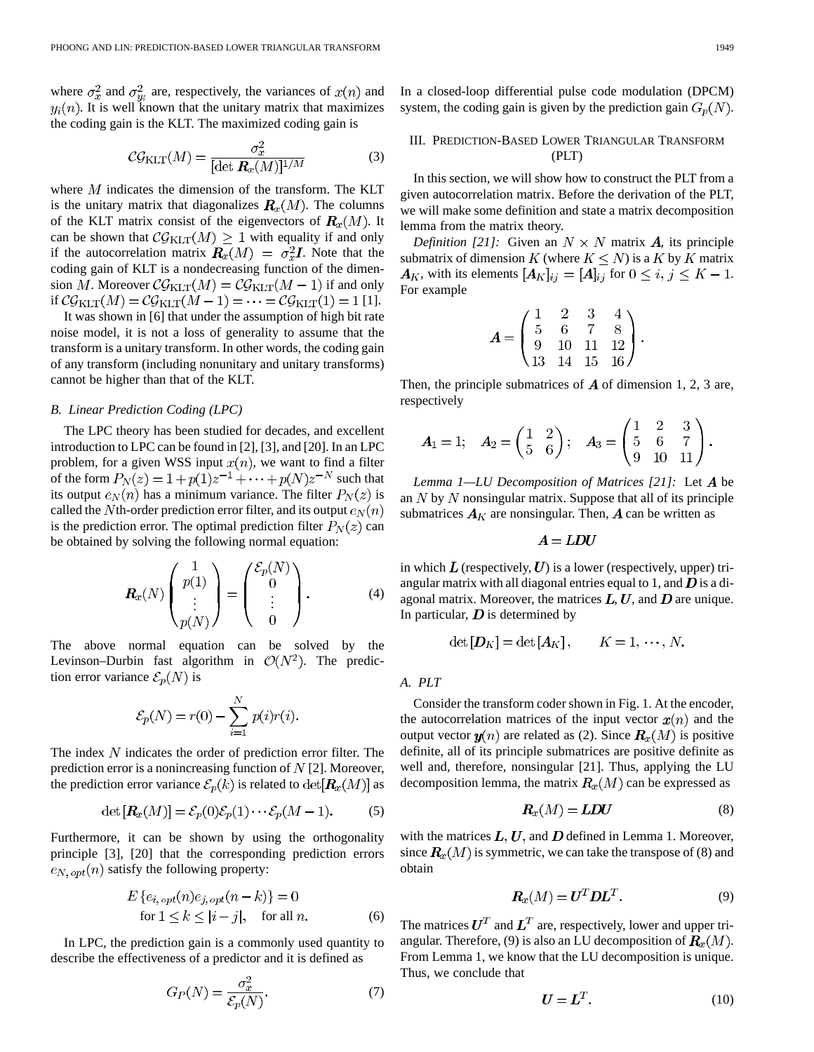where  $\sigma_x^2$  and  $\sigma_w^2$  are, respectively, the variances of  $x(n)$  and . It is well known that the unitary matrix that maximizes the coding gain is the KLT. The maximized coding gain is

$$
C\mathcal{G}_{\text{KLT}}(M) = \frac{\sigma_x^2}{[\det \mathbf{R}_x(M)]^{1/M}}
$$
(3)

where  $M$  indicates the dimension of the transform. The KLT is the unitary matrix that diagonalizes  $R_x(M)$ . The columns of the KLT matrix consist of the eigenvectors of  $\mathbf{R}_x(M)$ . It can be shown that  $\mathcal{CG}_{\text{KLT}}(M) \geq 1$  with equality if and only if the autocorrelation matrix  $\mathbf{R}_x(M) = \sigma_x^2 \mathbf{I}$ . Note that the coding gain of KLT is a nondecreasing function of the dimension M. Moreover  $\mathcal{CG}_{\text{KLT}}(M) = \mathcal{CG}_{\text{KLT}}(M-1)$  if and only if  $\mathcal{CG}_{\text{KLT}}(M) = \mathcal{CG}_{\text{KLT}}(M-1) = \cdots = \mathcal{CG}_{\text{KLT}}(1) = 1$  [1].

It was shown in [6] that under the assumption of high bit rate noise model, it is not a loss of generality to assume that the transform is a unitary transform. In other words, the coding gain of any transform (including nonunitary and unitary transforms) cannot be higher than that of the KLT.

#### *B. Linear Prediction Coding (LPC)*

The LPC theory has been studied for decades, and excellent introduction to LPC can be found in [2], [3], and [20]. In an LPC problem, for a given WSS input  $x(n)$ , we want to find a filter of the form  $P_N(z) = 1 + p(1)z^{-1} + \cdots + p(N)z^{-N}$  such that its output  $e_N(n)$  has a minimum variance. The filter  $P_N(z)$  is called the Nth-order prediction error filter, and its output  $e_N(n)$ is the prediction error. The optimal prediction filter  $P_N(z)$  can be obtained by solving the following normal equation:

$$
\boldsymbol{R}_x(N) \begin{pmatrix} 1 \\ p(1) \\ \vdots \\ p(N) \end{pmatrix} = \begin{pmatrix} \mathcal{E}_p(N) \\ 0 \\ \vdots \\ 0 \end{pmatrix} . \tag{4}
$$

The above normal equation can be solved by the Levinson–Durbin fast algorithm in  $\mathcal{O}(N^2)$ . The prediction error variance  $\mathcal{E}_p(N)$  is

$$
\mathcal{E}_p(N) = r(0) - \sum_{i=1}^N p(i)r(i).
$$

The index  $N$  indicates the order of prediction error filter. The prediction error is a nonincreasing function of  $N$  [2]. Moreover, the prediction error variance  $\mathcal{E}_p(k)$  is related to  $\det[\mathbf{R}_x(M)]$  as

$$
\det\left[\mathbf{R}_x(M)\right] = \mathcal{E}_p(0)\mathcal{E}_p(1)\cdots\mathcal{E}_p(M-1). \tag{5}
$$

Furthermore, it can be shown by using the orthogonality principle [3], [20] that the corresponding prediction errors  $e_{N,\, opt}(n)$  satisfy the following property:

$$
E\left\{e_{i,\, opt}(n)e_{j,\, opt}(n-k)\right\} = 0
$$
  
for  $1 \le k \le |i-j|$ , for all n. (6)

 $\sim$ 

In LPC, the prediction gain is a commonly used quantity to describe the effectiveness of a predictor and it is defined as

$$
G_P(N) = \frac{\sigma_x^2}{\mathcal{E}_p(N)}.\tag{7}
$$

In a closed-loop differential pulse code modulation (DPCM) system, the coding gain is given by the prediction gain  $G_p(N)$ .

# III. PREDICTION-BASED LOWER TRIANGULAR TRANSFORM (PLT)

In this section, we will show how to construct the PLT from a given autocorrelation matrix. Before the derivation of the PLT, we will make some definition and state a matrix decomposition lemma from the matrix theory.

*Definition [21]:* Given an  $N \times N$  matrix A, its principle submatrix of dimension K (where  $K \leq N$ ) is a K by K matrix  $A_K$ , with its elements  $[A_K]_{ij} = [A]_{ij}$  for  $0 \le i, j \le K - 1$ . For example

$$
A = \begin{pmatrix} 1 & 2 & 3 & 4 \\ 5 & 6 & 7 & 8 \\ 9 & 10 & 11 & 12 \\ 13 & 14 & 15 & 16 \end{pmatrix}.
$$

Then, the principle submatrices of  $\vec{A}$  of dimension 1, 2, 3 are, respectively

$$
A_1 = 1; \quad A_2 = \begin{pmatrix} 1 & 2 \\ 5 & 6 \end{pmatrix}; \quad A_3 = \begin{pmatrix} 1 & 2 & 3 \\ 5 & 6 & 7 \\ 9 & 10 & 11 \end{pmatrix}.
$$

*Lemma 1—LU Decomposition of Matrices [21]:* Let A be an  $N$  by  $N$  nonsingular matrix. Suppose that all of its principle submatrices  $A_K$  are nonsingular. Then,  $A$  can be written as

$$
\boldsymbol{A} = \boldsymbol{L} \boldsymbol{D} \boldsymbol{U}
$$

in which  $L$  (respectively,  $U$ ) is a lower (respectively, upper) triangular matrix with all diagonal entries equal to 1, and  $\bm{D}$  is a diagonal matrix. Moreover, the matrices  $L, U$ , and  $D$  are unique. In particular,  $\boldsymbol{D}$  is determined by

$$
\det[\boldsymbol{D}_K]=\det[\boldsymbol{A}_K],\qquad K=1,\,\cdots,\,N.
$$

*A. PLT*

Consider the transform coder shown in Fig. 1. At the encoder, the autocorrelation matrices of the input vector  $x(n)$  and the output vector  $y(n)$  are related as (2). Since  $R_x(M)$  is positive definite, all of its principle submatrices are positive definite as well and, therefore, nonsingular [21]. Thus, applying the LU decomposition lemma, the matrix  $R_x(M)$  can be expressed as

$$
R_x(M) = LDU \tag{8}
$$

with the matrices  $L, U$ , and  $D$  defined in Lemma 1. Moreover, since  $R_x(M)$  is symmetric, we can take the transpose of (8) and obtain

$$
\boldsymbol{R}_x(M) = \boldsymbol{U}^T \boldsymbol{D} \boldsymbol{L}^T. \tag{9}
$$

The matrices  $U^T$  and  $L^T$  are, respectively, lower and upper triangular. Therefore, (9) is also an LU decomposition of  $\mathbf{R}_x(M)$ . From Lemma 1, we know that the LU decomposition is unique. Thus, we conclude that

$$
U = L^T. \tag{10}
$$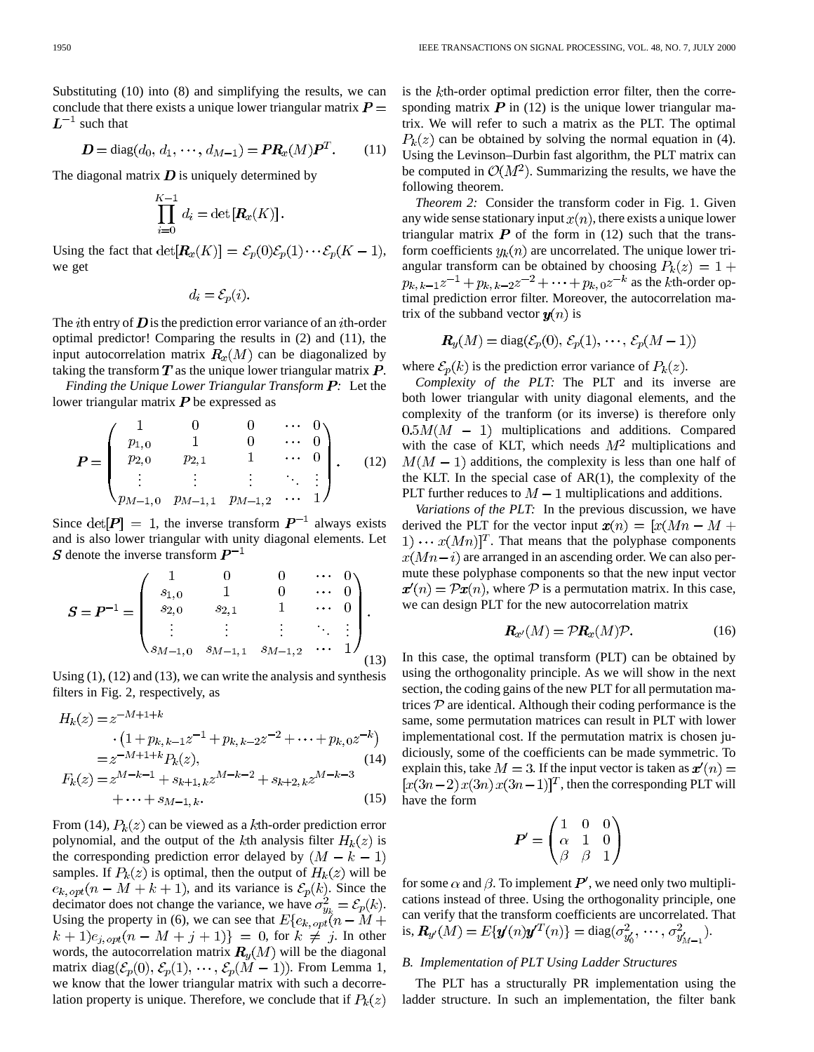Substituting (10) into (8) and simplifying the results, we can conclude that there exists a unique lower triangular matrix  $P =$  $L^{-1}$  such that

$$
D = diag(d_0, d_1, \cdots, d_{M-1}) = PR_x(M)P^T.
$$
 (11)

The diagonal matrix  $D$  is uniquely determined by

$$
\prod_{i=0}^{K-1} d_i = \det[\mathbf{R}_x(K)].
$$

Using the fact that  $\det[\mathbf{R}_x(K)] = \mathcal{E}_p(0)\mathcal{E}_p(1)\cdots\mathcal{E}_p(K-1),$ we get

$$
d_i = \mathcal{E}_p(i).
$$

The *i*th entry of  $D$  is the prediction error variance of an *i*th-order optimal predictor! Comparing the results in (2) and (11), the input autocorrelation matrix  $R_x(M)$  can be diagonalized by taking the transform  $T$  as the unique lower triangular matrix  $P$ .

*Finding the Unique Lower Triangular Transform*  $\bm{P}$ *:* Let the lower triangular matrix  $P$  be expressed as

$$
\boldsymbol{P} = \begin{pmatrix} 1 & 0 & 0 & \cdots & 0 \\ p_{1,0} & 1 & 0 & \cdots & 0 \\ p_{2,0} & p_{2,1} & 1 & \cdots & 0 \\ \vdots & \vdots & \vdots & \ddots & \vdots \\ p_{M-1,0} & p_{M-1,1} & p_{M-1,2} & \cdots & 1 \end{pmatrix} .
$$
 (12)

Since  $\det[P] = 1$ , the inverse transform  $P^{-1}$  always exists and is also lower triangular with unity diagonal elements. Let S denote the inverse transform  $P^{-1}$ 

$$
\mathbf{S} = \mathbf{P}^{-1} = \begin{pmatrix} 1 & 0 & 0 & \cdots & 0 \\ s_{1,0} & 1 & 0 & \cdots & 0 \\ s_{2,0} & s_{2,1} & 1 & \cdots & 0 \\ \vdots & \vdots & \vdots & \ddots & \vdots \\ s_{M-1,0} & s_{M-1,1} & s_{M-1,2} & \cdots & 1 \end{pmatrix} .
$$
 (13)

Using (1), (12) and (13), we can write the analysis and synthesis filters in Fig. 2, respectively, as

$$
H_k(z) = z^{-M+1+k}
$$
  
\n
$$
\cdot (1 + p_{k,k-1}z^{-1} + p_{k,k-2}z^{-2} + \dots + p_{k,0}z^{-k})
$$
  
\n
$$
= z^{-M+1+k} P_k(z),
$$
  
\n
$$
F_k(z) = z^{M-k-1} + s_{k+1,k}z^{M-k-2} + s_{k+2,k}z^{M-k-3}
$$
  
\n
$$
+ \dots + s_{M-1,k}.
$$
  
\n(15)

From (14),  $P_k(z)$  can be viewed as a kth-order prediction error polynomial, and the output of the kth analysis filter  $H_k(z)$  is the corresponding prediction error delayed by  $(M - k - 1)$ samples. If  $P_k(z)$  is optimal, then the output of  $H_k(z)$  will be  $e_{k, opt}(n-M+k+1)$ , and its variance is  $\mathcal{E}_p(k)$ . Since the decimator does not change the variance, we have  $\sigma_{y_k}^2 = \mathcal{E}_p(k)$ . Using the property in (6), we can see that  $E\{e_k, opt(n-M)$  $(k+1)e_{j,\, opt}(n-M+j+1)\} = 0$ , for  $k \neq j$ . In other words, the autocorrelation matrix  $R_u(M)$  will be the diagonal matrix diag( $\mathcal{E}_p(0), \mathcal{E}_p(1), \cdots, \mathcal{E}_p(M-1)$ ). From Lemma 1, we know that the lower triangular matrix with such a decorrelation property is unique. Therefore, we conclude that if  $P_k(z)$  is the  $k$ th-order optimal prediction error filter, then the corresponding matrix  $P$  in (12) is the unique lower triangular matrix. We will refer to such a matrix as the PLT. The optimal  $P_k(z)$  can be obtained by solving the normal equation in (4). Using the Levinson–Durbin fast algorithm, the PLT matrix can be computed in  $\mathcal{O}(M^2)$ . Summarizing the results, we have the following theorem.

*Theorem 2:* Consider the transform coder in Fig. 1. Given any wide sense stationary input  $x(n)$ , there exists a unique lower triangular matrix  $P$  of the form in (12) such that the transform coefficients  $y_k(n)$  are uncorrelated. The unique lower triangular transform can be obtained by choosing  $P_k(z) = 1 +$  $p_{k, k-1}z^{-1} + p_{k, k-2}z^{-2} + \cdots + p_{k, 0}z^{-k}$  as the *k*th-order optimal prediction error filter. Moreover, the autocorrelation matrix of the subband vector  $y(n)$  is

$$
\mathbf{R}_y(M) = \text{diag}(\mathcal{E}_p(0), \mathcal{E}_p(1), \cdots, \mathcal{E}_p(M-1))
$$

where  $\mathcal{E}_p(k)$  is the prediction error variance of  $P_k(z)$ .

*Complexity of the PLT:* The PLT and its inverse are both lower triangular with unity diagonal elements, and the complexity of the tranform (or its inverse) is therefore only  $0.5M(M - 1)$  multiplications and additions. Compared with the case of KLT, which needs  $M^2$  multiplications and  $M(M - 1)$  additions, the complexity is less than one half of the KLT. In the special case of AR(1), the complexity of the PLT further reduces to  $M-1$  multiplications and additions.

*Variations of the PLT:* In the previous discussion, we have derived the PLT for the vector input  $x(n) = [x(Mn - M +$  $(1) \cdots x(Mn)$ <sup>T</sup>. That means that the polyphase components  $x(Mn-i)$  are arranged in an ascending order. We can also permute these polyphase components so that the new input vector  $x'(n) = \mathcal{P}x(n)$ , where P is a permutation matrix. In this case, we can design PLT for the new autocorrelation matrix

$$
\mathbf{R}_{x'}(M) = \mathcal{P}\mathbf{R}_x(M)\mathcal{P}.\tag{16}
$$

In this case, the optimal transform (PLT) can be obtained by using the orthogonality principle. As we will show in the next section, the coding gains of the new PLT for all permutation matrices  $P$  are identical. Although their coding performance is the same, some permutation matrices can result in PLT with lower implementational cost. If the permutation matrix is chosen judiciously, some of the coefficients can be made symmetric. To explain this, take  $M = 3$ . If the input vector is taken as  $\mathbf{r}'(n) =$  $[x(3n-2)x(3n)x(3n-1)]^T$ , then the corresponding PLT will have the form

$$
\boldsymbol{P}' = \begin{pmatrix} 1 & 0 & 0 \\ \alpha & 1 & 0 \\ \beta & \beta & 1 \end{pmatrix}
$$

for some  $\alpha$  and  $\beta$ . To implement  $P'$ , we need only two multiplications instead of three. Using the orthogonality principle, one can verify that the transform coefficients are uncorrelated. That is,  $R_{y'}(M) = E{y'(n)y^{T}(n)} = diag(\sigma_{y'}^{2}, \cdots, \sigma_{y'}^{2})$ .

#### *B. Implementation of PLT Using Ladder Structures*

The PLT has a structurally PR implementation using the ladder structure. In such an implementation, the filter bank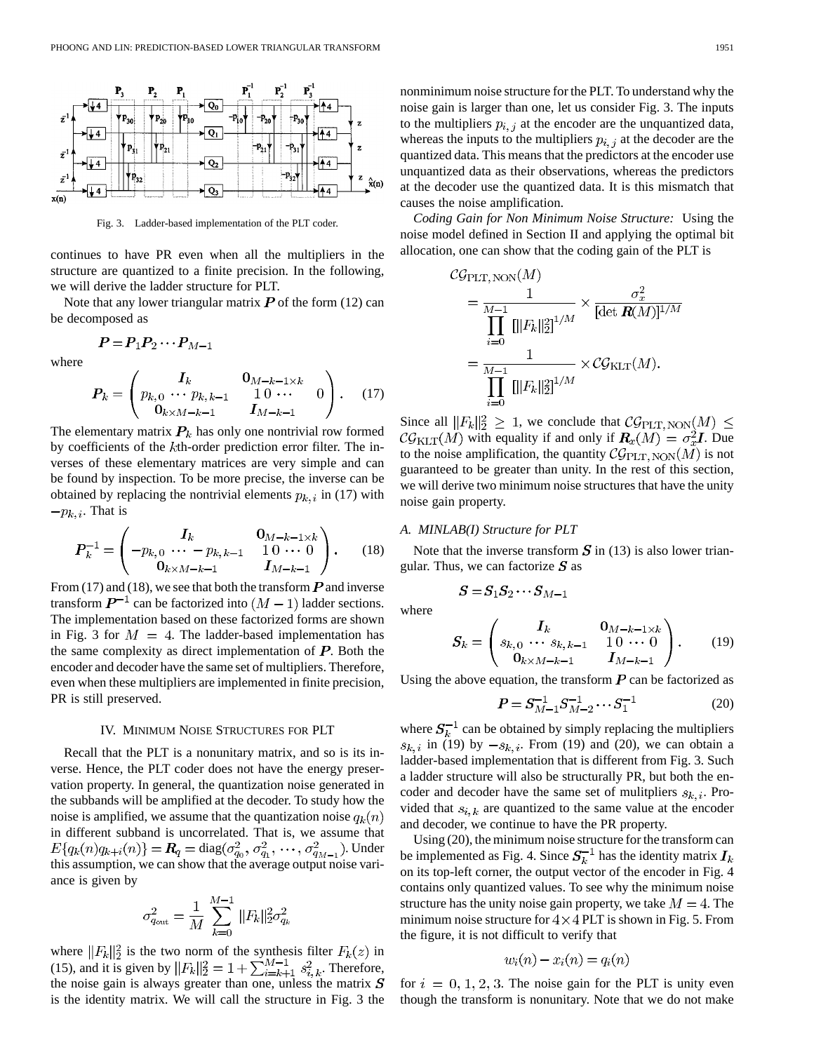

Fig. 3. Ladder-based implementation of the PLT coder.

continues to have PR even when all the multipliers in the structure are quantized to a finite precision. In the following, we will derive the ladder structure for PLT.

Note that any lower triangular matrix  $P$  of the form (12) can be decomposed as

$$
\boldsymbol{P} = \boldsymbol{P}_1 \boldsymbol{P}_2 \cdots \boldsymbol{P}_{M-1}
$$

where

$$
P_k = \begin{pmatrix} I_k & 0_{M-k-1 \times k} \\ p_{k,0} & \cdots & p_{k,k-1} & 1 & 0 & \cdots \\ 0_{k \times M-k-1} & I_{M-k-1} & 0 \end{pmatrix}.
$$
 (17)

The elementary matrix  $P_k$  has only one nontrivial row formed by coefficients of the  $k$ th-order prediction error filter. The inverses of these elementary matrices are very simple and can be found by inspection. To be more precise, the inverse can be obtained by replacing the nontrivial elements  $p_{k,i}$  in (17) with  $-p_{k,i}$ . That is

$$
P_k^{-1} = \begin{pmatrix} I_k & 0_{M-k-1 \times k} \\ -p_{k,0} & -p_{k,k-1} & 10 & 0 \\ 0_{k \times M-k-1} & I_{M-k-1} \end{pmatrix}.
$$
 (18)

From (17) and (18), we see that both the transform  $\bm{P}$  and inverse transform  $\mathbf{P}^{-1}$  can be factorized into  $(M-1)$  ladder sections. The implementation based on these factorized forms are shown in Fig. 3 for  $M = 4$ . The ladder-based implementation has the same complexity as direct implementation of  $P$ . Both the encoder and decoder have the same set of multipliers. Therefore, even when these multipliers are implemented in finite precision, PR is still preserved.

#### IV. MINIMUM NOISE STRUCTURES FOR PLT

Recall that the PLT is a nonunitary matrix, and so is its inverse. Hence, the PLT coder does not have the energy preservation property. In general, the quantization noise generated in the subbands will be amplified at the decoder. To study how the noise is amplified, we assume that the quantization noise  $q_k(n)$ in different subband is uncorrelated. That is, we assume that  $E\{q_k(n)q_{k+i}(n)\} = R_q = \text{diag}(\sigma_{q_0}^2, \sigma_{q_1}^2, \cdots, \sigma_{q_{M-1}}^2)$ . Under this assumption, we can show that the average output noise variance is given by

$$
\sigma_{q_{\text{out}}}^2 = \frac{1}{M} \sum_{k=0}^{M-1} ||F_k||_2^2 \sigma_{q_k}^2
$$

where  $||F_k||_2^2$  is the two norm of the synthesis filter  $F_k(z)$  in (15), and it is given by  $||F_k||_2^2 = 1 + \sum_{i=k+1}^{M-1} s_{i,k}^2$ . Therefore, the noise gain is always greater than one, unless the matrix  $S$ is the identity matrix. We will call the structure in Fig. 3 the nonminimum noise structure for the PLT. To understand why the noise gain is larger than one, let us consider Fig. 3. The inputs to the multipliers  $p_{i,j}$  at the encoder are the unquantized data, whereas the inputs to the multipliers  $p_{i,j}$  at the decoder are the quantized data. This means that the predictors at the encoder use unquantized data as their observations, whereas the predictors at the decoder use the quantized data. It is this mismatch that causes the noise amplification.

*Coding Gain for Non Minimum Noise Structure:* Using the noise model defined in Section II and applying the optimal bit allocation, one can show that the coding gain of the PLT is

$$
C\mathcal{G}_{\text{PLT, NON}}(M)
$$
  
=  $\frac{1}{\prod_{i=0}^{M-1} [||F_k||_2^2]^{1/M}} \times \frac{\sigma_x^2}{[\det R(M)]^{1/M}}$   
=  $\frac{1}{\prod_{i=0}^{M-1} [||F_k||_2^2]^{1/M}} \times \mathcal{CG}_{\text{KLT}}(M).$ 

Since all  $||F_k||_2^2 \geq 1$ , we conclude that  $\mathcal{CG}_{\text{PLT, NON}}(M) \leq$  $\mathcal{CG}_{\text{KLT}}(M)$  with equality if and only if  $\mathbf{R}_x(M) = \sigma_x^2 \mathbf{I}$ . Due to the noise amplification, the quantity  $\mathcal{CG}_{\rm PLT, NON}(M)$  is not guaranteed to be greater than unity. In the rest of this section, we will derive two minimum noise structures that have the unity noise gain property.

# *A. MINLAB(I) Structure for PLT*

Note that the inverse transform  $S$  in (13) is also lower triangular. Thus, we can factorize  $S$  as

$$
\boldsymbol{S}\!=\!\boldsymbol{S}_{1}\boldsymbol{S}_{2}\cdots\boldsymbol{S}_{M-1}
$$

where

$$
S_k = \begin{pmatrix} I_k & 0_{M-k-1 \times k} \\ s_{k,0} & \cdots & s_{k,k-1} & 1 & 0 & \cdots & 0 \\ 0_{k \times M-k-1} & I_{M-k-1} & I_M \end{pmatrix}.
$$
 (19)

Using the above equation, the transform  $P$  can be factorized as

$$
P = S_{M-1}^{-1} S_{M-2}^{-1} \cdots S_1^{-1}
$$
 (20)

where  $S_k^{-1}$  can be obtained by simply replacing the multipliers  $s_{k,i}$  in (19) by  $-s_{k,i}$ . From (19) and (20), we can obtain a ladder-based implementation that is different from Fig. 3. Such a ladder structure will also be structurally PR, but both the encoder and decoder have the same set of mulitpliers  $s_{k,i}$ . Provided that  $s_{i,k}$  are quantized to the same value at the encoder and decoder, we continue to have the PR property.

Using (20), the minimum noise structure for the transform can be implemented as Fig. 4. Since  $S_k^{-1}$  has the identity matrix  $I_k$ on its top-left corner, the output vector of the encoder in Fig. 4 contains only quantized values. To see why the minimum noise structure has the unity noise gain property, we take  $M = 4$ . The minimum noise structure for  $4 \times 4$  PLT is shown in Fig. 5. From the figure, it is not difficult to verify that

$$
w_i(n) - x_i(n) = q_i(n)
$$

for  $i = 0, 1, 2, 3$ . The noise gain for the PLT is unity even though the transform is nonunitary. Note that we do not make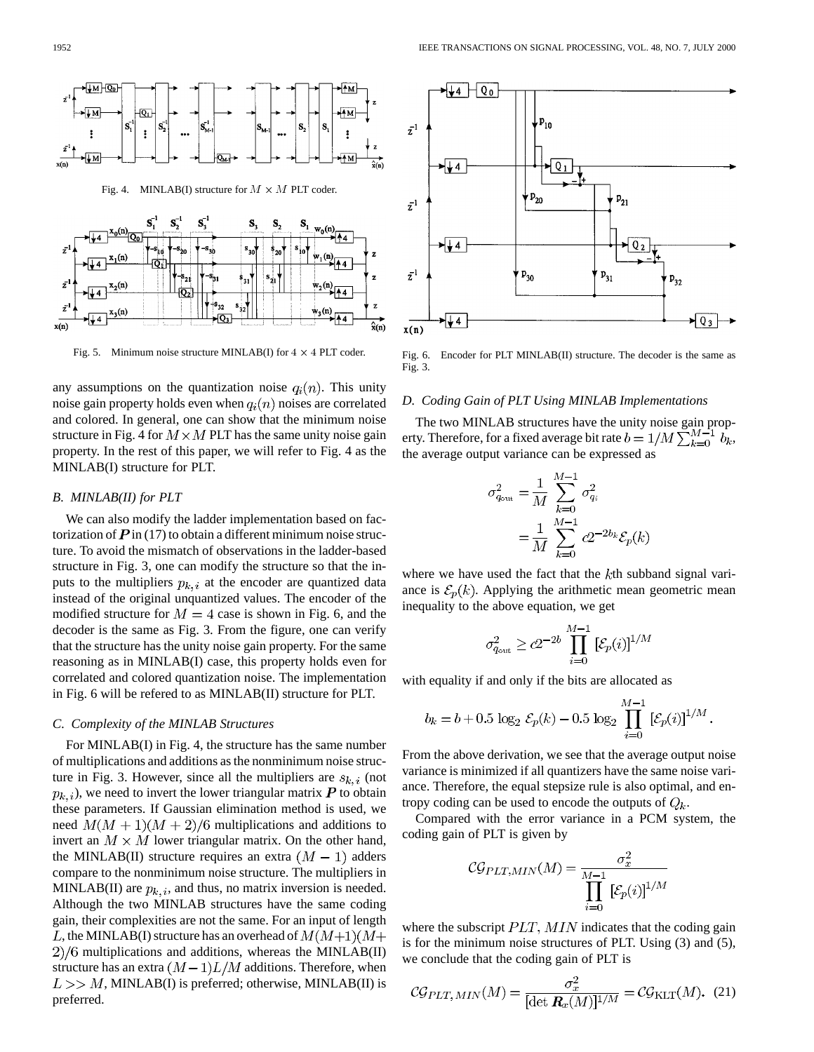

Fig. 5. Minimum noise structure MINLAB(I) for  $4 \times 4$  PLT coder.

any assumptions on the quantization noise  $q_i(n)$ . This unity noise gain property holds even when  $q_i(n)$  noises are correlated and colored. In general, one can show that the minimum noise structure in Fig. 4 for  $M \times M$  PLT has the same unity noise gain property. In the rest of this paper, we will refer to Fig. 4 as the MINLAB(I) structure for PLT.

#### *B. MINLAB(II) for PLT*

We can also modify the ladder implementation based on factorization of  $\vec{P}$  in (17) to obtain a different minimum noise structure. To avoid the mismatch of observations in the ladder-based structure in Fig. 3, one can modify the structure so that the inputs to the multipliers  $p_{k,i}$  at the encoder are quantized data instead of the original unquantized values. The encoder of the modified structure for  $M = 4$  case is shown in Fig. 6, and the decoder is the same as Fig. 3. From the figure, one can verify that the structure has the unity noise gain property. For the same reasoning as in MINLAB(I) case, this property holds even for correlated and colored quantization noise. The implementation in Fig. 6 will be refered to as MINLAB(II) structure for PLT.

### *C. Complexity of the MINLAB Structures*

For MINLAB(I) in Fig. 4, the structure has the same number of multiplications and additions as the nonminimum noise structure in Fig. 3. However, since all the multipliers are  $s_{k,i}$  (not  $p_{k,i}$ , we need to invert the lower triangular matrix  $P$  to obtain these parameters. If Gaussian elimination method is used, we need  $M(M + 1)(M + 2)/6$  multiplications and additions to invert an  $M \times M$  lower triangular matrix. On the other hand, the MINLAB(II) structure requires an extra  $(M - 1)$  adders compare to the nonminimum noise structure. The multipliers in MINLAB(II) are  $p_{k,i}$ , and thus, no matrix inversion is needed. Although the two MINLAB structures have the same coding gain, their complexities are not the same. For an input of length L, the MINLAB(I) structure has an overhead of  $M(M+1)(M+$  $2)/6$  multiplications and additions, whereas the MINLAB(II) structure has an extra  $(M-1)L/M$  additions. Therefore, when  $L >> M$ , MINLAB(I) is preferred; otherwise, MINLAB(II) is preferred.



Fig. 6. Encoder for PLT MINLAB(II) structure. The decoder is the same as Fig. 3.

#### *D. Coding Gain of PLT Using MINLAB Implementations*

The two MINLAB structures have the unity noise gain property. Therefore, for a fixed average bit rate  $b=1/M\sum_{k=0}^{M-1}\,b_k,$ the average output variance can be expressed as

 $\mathbf{r}$ 

$$
\sigma_{q_{\text{out}}}^2 = \frac{1}{M} \sum_{k=0}^{M-1} \sigma_{q_i}^2
$$

$$
= \frac{1}{M} \sum_{k=0}^{M-1} c2^{-2b_k} \mathcal{E}_p(k)
$$

where we have used the fact that the  $k$ th subband signal variance is  $\mathcal{E}_p(k)$ . Applying the arithmetic mean geometric mean inequality to the above equation, we get

$$
\sigma_{q_{\text{out}}}^2 \ge c2^{-2b} \prod_{i=0}^{M-1} \left[ \mathcal{E}_p(i) \right]^{1/M}
$$

with equality if and only if the bits are allocated as

$$
b_k = b + 0.5 \log_2 \mathcal{E}_p(k) - 0.5 \log_2 \prod_{i=0}^{M-1} \left[ \mathcal{E}_p(i) \right]^{1/M}
$$

From the above derivation, we see that the average output noise variance is minimized if all quantizers have the same noise variance. Therefore, the equal stepsize rule is also optimal, and entropy coding can be used to encode the outputs of  $Q_k$ .

Compared with the error variance in a PCM system, the coding gain of PLT is given by

$$
\mathcal{CG}_{PLT,MIN}(M) = \frac{\sigma_x^2}{\prod_{i=0}^{M-1} [\mathcal{E}_p(i)]^{1/M}}
$$

where the subscript  $PLT$ ,  $MIN$  indicates that the coding gain is for the minimum noise structures of PLT. Using (3) and (5), we conclude that the coding gain of PLT is

$$
\mathcal{CG}_{PLT, MIN}(M) = \frac{\sigma_x^2}{[\det \mathbf{R}_x(M)]^{1/M}} = \mathcal{CG}_{\text{KLT}}(M). \tag{21}
$$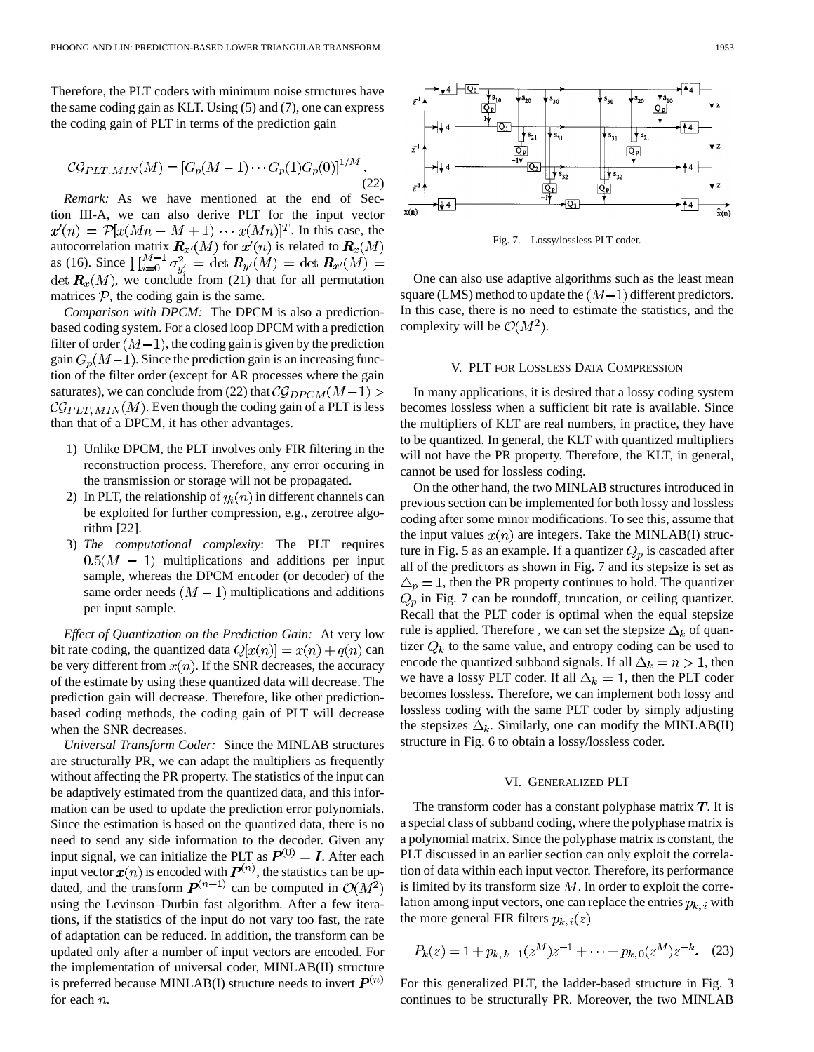Therefore, the PLT coders with minimum noise structures have the same coding gain as KLT. Using (5) and (7), one can express the coding gain of PLT in terms of the prediction gain

$$
CG_{PLT, MIN}(M) = [G_p(M-1) \cdots G_p(1)G_p(0)]^{1/M}.
$$
\n(22)

*Remark:* As we have mentioned at the end of Section III-A, we can also derive PLT for the input vector  $x'(n) = P[x(Mn - M + 1) \cdots x(Mn)]^T$ . In this case, the autocorrelation matrix  $\mathbf{R}_{x'}(M)$  for  $x'(n)$  is related to as (16). Since det  $\mathbf{R}_x(M)$ , we conclude from (21) that for all permutation matrices  $P$ , the coding gain is the same.

*Comparison with DPCM:* The DPCM is also a predictionbased coding system. For a closed loop DPCM with a prediction filter of order  $(M-1)$ , the coding gain is given by the prediction gain  $G_p(M-1)$ . Since the prediction gain is an increasing function of the filter order (except for AR processes where the gain saturates), we can conclude from (22) that  $C_{\mathcal{G}DPCM}(M-1)$  >  $\mathcal{CG}_{PLT, MIN}(M)$ . Even though the coding gain of a PLT is less than that of a DPCM, it has other advantages.

- 1) Unlike DPCM, the PLT involves only FIR filtering in the reconstruction process. Therefore, any error occuring in the transmission or storage will not be propagated.
- 2) In PLT, the relationship of  $y_i(n)$  in different channels can be exploited for further compression, e.g., zerotree algorithm [22].
- 3) *The computational complexity*: The PLT requires  $0.5(M - 1)$  multiplications and additions per input sample, whereas the DPCM encoder (or decoder) of the same order needs  $(M - 1)$  multiplications and additions per input sample.

*Effect of Quantization on the Prediction Gain:* At very low bit rate coding, the quantized data  $Q[x(n)] = x(n) + q(n)$  can be very different from  $x(n)$ . If the SNR decreases, the accuracy of the estimate by using these quantized data will decrease. The prediction gain will decrease. Therefore, like other predictionbased coding methods, the coding gain of PLT will decrease when the SNR decreases.

*Universal Transform Coder:* Since the MINLAB structures are structurally PR, we can adapt the multipliers as frequently without affecting the PR property. The statistics of the input can be adaptively estimated from the quantized data, and this information can be used to update the prediction error polynomials. Since the estimation is based on the quantized data, there is no need to send any side information to the decoder. Given any input signal, we can initialize the PLT as  $P^{(0)} = I$ . After each input vector  $x(n)$  is encoded with  $P^{(n)}$ , the statistics can be updated, and the transform  $\mathbf{P}^{(n+1)}$  can be computed in  $\mathcal{O}(M^2)$ using the Levinson–Durbin fast algorithm. After a few iterations, if the statistics of the input do not vary too fast, the rate of adaptation can be reduced. In addition, the transform can be updated only after a number of input vectors are encoded. For the implementation of universal coder, MINLAB(II) structure is preferred because MINLAB(I) structure needs to invert  $P^{(n)}$ for each  $n$ .



Fig. 7. Lossy/lossless PLT coder.

One can also use adaptive algorithms such as the least mean square (LMS) method to update the  $(M-1)$  different predictors. In this case, there is no need to estimate the statistics, and the complexity will be  $\mathcal{O}(M^2)$ .

#### V. PLT FOR LOSSLESS DATA COMPRESSION

In many applications, it is desired that a lossy coding system becomes lossless when a sufficient bit rate is available. Since the multipliers of KLT are real numbers, in practice, they have to be quantized. In general, the KLT with quantized multipliers will not have the PR property. Therefore, the KLT, in general, cannot be used for lossless coding.

On the other hand, the two MINLAB structures introduced in previous section can be implemented for both lossy and lossless coding after some minor modifications. To see this, assume that the input values  $x(n)$  are integers. Take the MINLAB(I) structure in Fig. 5 as an example. If a quantizer  $Q_p$  is cascaded after all of the predictors as shown in Fig. 7 and its stepsize is set as  $\Delta_p = 1$ , then the PR property continues to hold. The quantizer  $Q_p$  in Fig. 7 can be roundoff, truncation, or ceiling quantizer. Recall that the PLT coder is optimal when the equal stepsize rule is applied. Therefore, we can set the stepsize  $\Delta_k$  of quantizer  $Q_k$  to the same value, and entropy coding can be used to encode the quantized subband signals. If all  $\Delta_k = n > 1$ , then we have a lossy PLT coder. If all  $\Delta_k = 1$ , then the PLT coder becomes lossless. Therefore, we can implement both lossy and lossless coding with the same PLT coder by simply adjusting the stepsizes  $\Delta_k$ . Similarly, one can modify the MINLAB(II) structure in Fig. 6 to obtain a lossy/lossless coder.

#### VI. GENERALIZED PLT

The transform coder has a constant polyphase matrix  $T$ . It is a special class of subband coding, where the polyphase matrix is a polynomial matrix. Since the polyphase matrix is constant, the PLT discussed in an earlier section can only exploit the correlation of data within each input vector. Therefore, its performance is limited by its transform size  $M$ . In order to exploit the correlation among input vectors, one can replace the entries  $p_{k,i}$  with the more general FIR filters  $p_{k,i}(z)$ 

$$
P_k(z) = 1 + p_{k,k-1}(z^M)z^{-1} + \dots + p_{k,0}(z^M)z^{-k}.
$$
 (23)

For this generalized PLT, the ladder-based structure in Fig. 3 continues to be structurally PR. Moreover, the two MINLAB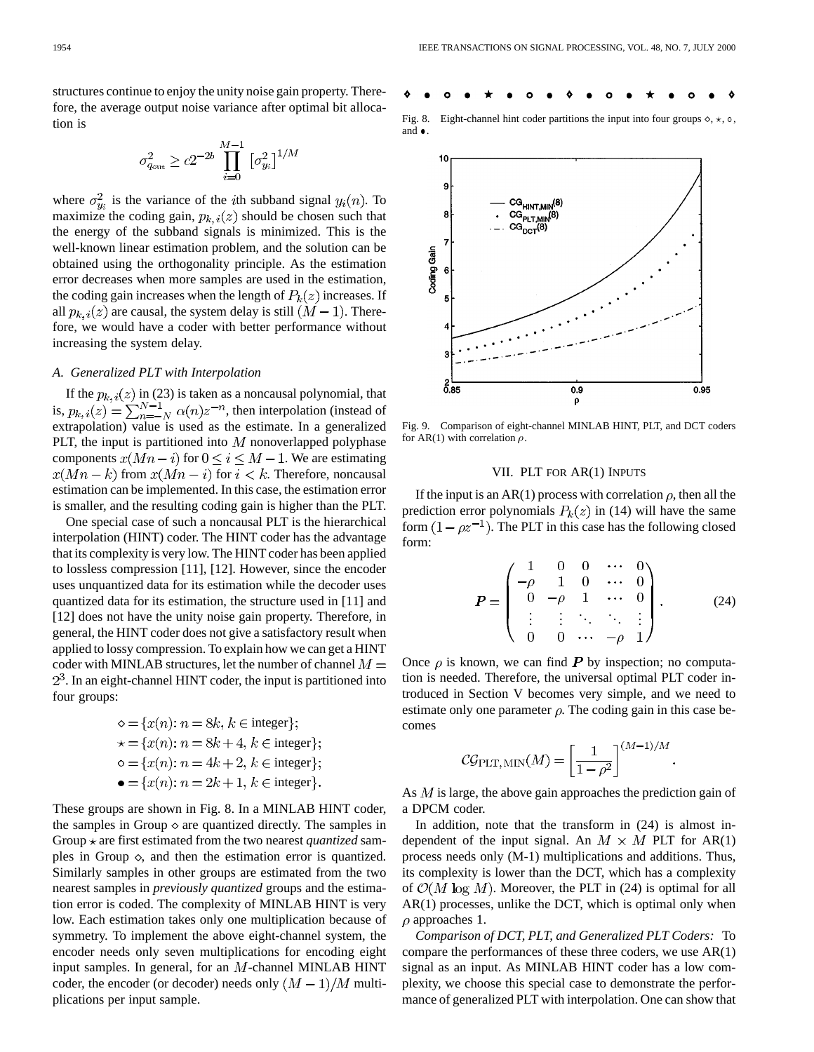structures continue to enjoy the unity noise gain property. Therefore, the average output noise variance after optimal bit allocation is

$$
\sigma_{q_{\rm out}}^2 \geq c 2^{-2b} \prod_{i=0}^{M-1} \left[\sigma_{y_i}^2\right]^{1/M}
$$

where  $\sigma_{y_i}^2$  is the variance of the *i*th subband signal  $y_i(n)$ . To maximize the coding gain,  $p_{k,i}(z)$  should be chosen such that the energy of the subband signals is minimized. This is the well-known linear estimation problem, and the solution can be obtained using the orthogonality principle. As the estimation error decreases when more samples are used in the estimation, the coding gain increases when the length of  $P_k(z)$  increases. If all  $p_{k,i}(z)$  are causal, the system delay is still  $(M-1)$ . Therefore, we would have a coder with better performance without increasing the system delay.

# *A. Generalized PLT with Interpolation*

If the  $p_{k,i}(z)$  in (23) is taken as a noncausal polynomial, that is,  $p_{k,i}(z) = \sum_{n=-N}^{N-1} \alpha(n) z^{-n}$ , then interpolation (instead of extrapolation) value is used as the estimate. In a generalized PLT, the input is partitioned into  $M$  nonoverlapped polyphase components  $x(Mn - i)$  for  $0 \le i \le M - 1$ . We are estimating  $x(Mn - k)$  from  $x(Mn - i)$  for  $i < k$ . Therefore, noncausal estimation can be implemented. In this case, the estimation error is smaller, and the resulting coding gain is higher than the PLT.

One special case of such a noncausal PLT is the hierarchical interpolation (HINT) coder. The HINT coder has the advantage that its complexity is very low. The HINT coder has been applied to lossless compression [11], [12]. However, since the encoder uses unquantized data for its estimation while the decoder uses quantized data for its estimation, the structure used in [11] and [12] does not have the unity noise gain property. Therefore, in general, the HINT coder does not give a satisfactory result when applied to lossy compression. To explain how we can get a HINT coder with MINLAB structures, let the number of channel  $M =$  $2<sup>3</sup>$ . In an eight-channel HINT coder, the input is partitioned into four groups:

$$
\diamond = \{x(n): n = 8k, k \in \text{integer}\};
$$
  
\n
$$
\star = \{x(n): n = 8k + 4, k \in \text{integer}\};
$$
  
\n
$$
\circ = \{x(n): n = 4k + 2, k \in \text{integer}\};
$$
  
\n
$$
\bullet = \{x(n): n = 2k + 1, k \in \text{integer}\}.
$$

These groups are shown in Fig. 8. In a MINLAB HINT coder, the samples in Group  $\diamond$  are quantized directly. The samples in Group  $\star$  are first estimated from the two nearest *quantized* samples in Group  $\diamond$ , and then the estimation error is quantized. Similarly samples in other groups are estimated from the two nearest samples in *previously quantized* groups and the estimation error is coded. The complexity of MINLAB HINT is very low. Each estimation takes only one multiplication because of symmetry. To implement the above eight-channel system, the encoder needs only seven multiplications for encoding eight input samples. In general, for an  $M$ -channel MINLAB HINT coder, the encoder (or decoder) needs only  $(M-1)/M$  multiplications per input sample.



Fig. 8. Eight-channel hint coder partitions the input into four groups  $\diamond, \star, \circ, \star$ and  $\bullet$ .



Fig. 9. Comparison of eight-channel MINLAB HINT, PLT, and DCT coders for AR(1) with correlation  $\rho$ .

#### VII. PLT FOR AR(1) INPUTS

If the input is an AR(1) process with correlation  $\rho$ , then all the prediction error polynomials  $P_k(z)$  in (14) will have the same form  $(1 - \rho z^{-1})$ . The PLT in this case has the following closed form:

$$
P = \begin{pmatrix} 1 & 0 & 0 & \cdots & 0 \\ -\rho & 1 & 0 & \cdots & 0 \\ 0 & -\rho & 1 & \cdots & 0 \\ \vdots & \vdots & \ddots & \ddots & \vdots \\ 0 & 0 & \cdots & -\rho & 1 \end{pmatrix} . \tag{24}
$$

Once  $\rho$  is known, we can find P by inspection; no computation is needed. Therefore, the universal optimal PLT coder introduced in Section V becomes very simple, and we need to estimate only one parameter  $\rho$ . The coding gain in this case becomes

$$
\mathcal{CG}_{\rm PLT,\,MIN}(M) = \left[\frac{1}{1-\rho^2}\right]^{(M-1)/M}
$$

As  $M$  is large, the above gain approaches the prediction gain of a DPCM coder.

In addition, note that the transform in (24) is almost independent of the input signal. An  $M \times M$  PLT for AR(1) process needs only (M-1) multiplications and additions. Thus, its complexity is lower than the DCT, which has a complexity of  $\mathcal{O}(M \log M)$ . Moreover, the PLT in (24) is optimal for all AR(1) processes, unlike the DCT, which is optimal only when  $\rho$  approaches 1.

*Comparison of DCT, PLT, and Generalized PLT Coders:* To compare the performances of these three coders, we use AR(1) signal as an input. As MINLAB HINT coder has a low complexity, we choose this special case to demonstrate the performance of generalized PLT with interpolation. One can show that